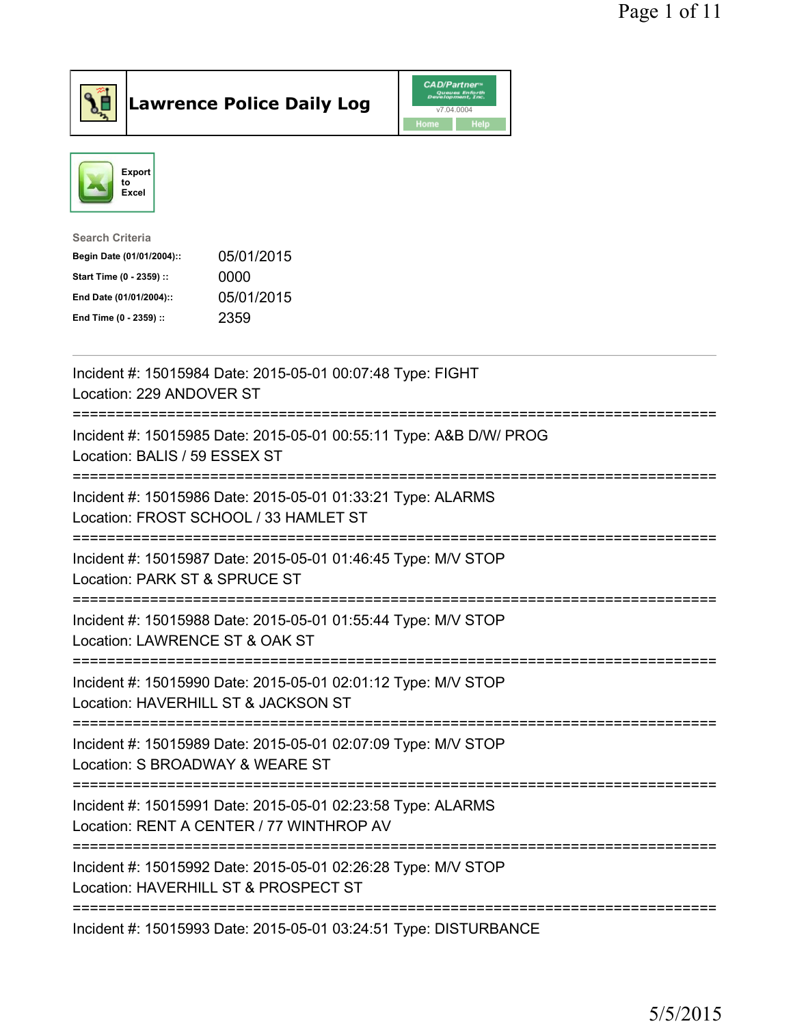

**Lawrence Police Daily Log** CAD/Partner



| <b>Search Criteria</b>           |            |
|----------------------------------|------------|
| Begin Date (01/01/2004)::        | 05/01/2015 |
| 0000<br>Start Time (0 - 2359) :: |            |
| End Date (01/01/2004)::          | 05/01/2015 |
| 2359<br>End Time (0 - 2359) ::   |            |

| Incident #: 15015984 Date: 2015-05-01 00:07:48 Type: FIGHT<br>Location: 229 ANDOVER ST                                                                             |
|--------------------------------------------------------------------------------------------------------------------------------------------------------------------|
| Incident #: 15015985 Date: 2015-05-01 00:55:11 Type: A&B D/W/ PROG<br>Location: BALIS / 59 ESSEX ST                                                                |
| Incident #: 15015986 Date: 2015-05-01 01:33:21 Type: ALARMS<br>Location: FROST SCHOOL / 33 HAMLET ST                                                               |
| Incident #: 15015987 Date: 2015-05-01 01:46:45 Type: M/V STOP<br>Location: PARK ST & SPRUCE ST<br>----------------------                                           |
| Incident #: 15015988 Date: 2015-05-01 01:55:44 Type: M/V STOP<br>Location: LAWRENCE ST & OAK ST<br>------------------------                                        |
| Incident #: 15015990 Date: 2015-05-01 02:01:12 Type: M/V STOP<br>Location: HAVERHILL ST & JACKSON ST                                                               |
| ------------------------<br>Incident #: 15015989 Date: 2015-05-01 02:07:09 Type: M/V STOP<br>Location: S BROADWAY & WEARE ST                                       |
| -------------------------<br>Incident #: 15015991 Date: 2015-05-01 02:23:58 Type: ALARMS<br>Location: RENT A CENTER / 77 WINTHROP AV<br>-------------------------- |
| Incident #: 15015992 Date: 2015-05-01 02:26:28 Type: M/V STOP<br>Location: HAVERHILL ST & PROSPECT ST                                                              |
| Incident #: 15015993 Date: 2015-05-01 03:24:51 Type: DISTURBANCE                                                                                                   |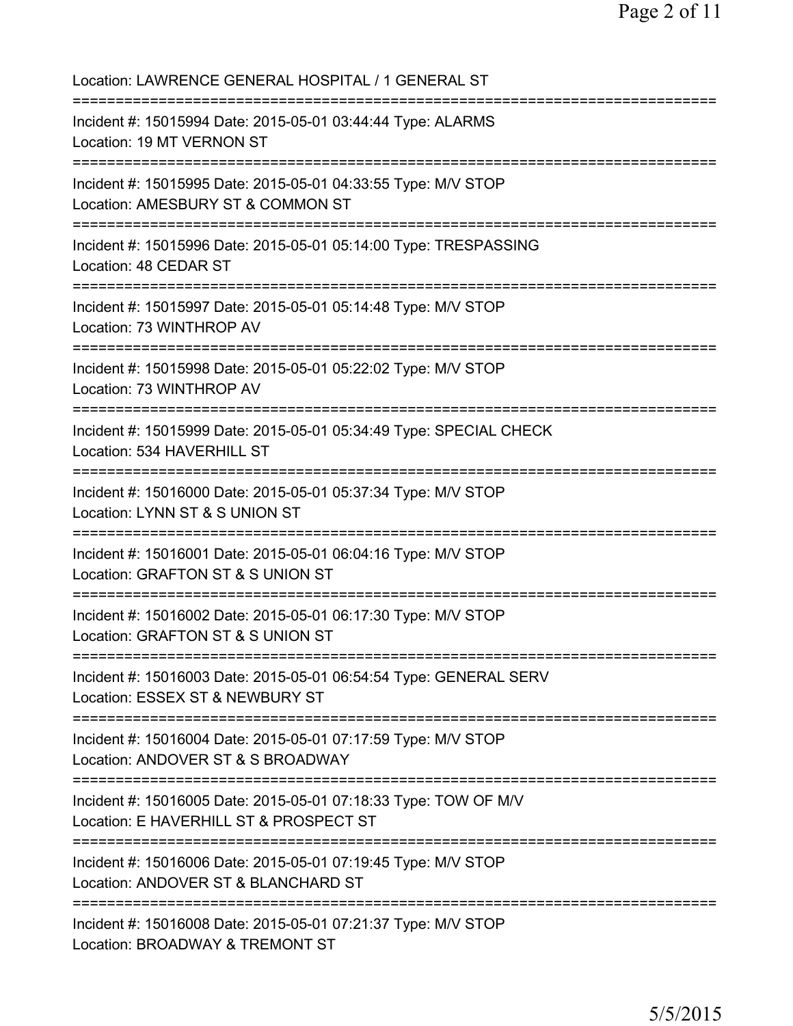Location: LAWRENCE GENERAL HOSPITAL / 1 GENERAL ST =========================================================================== Incident #: 15015994 Date: 2015-05-01 03:44:44 Type: ALARMS Location: 19 MT VERNON ST =========================================================================== Incident #: 15015995 Date: 2015-05-01 04:33:55 Type: M/V STOP Location: AMESBURY ST & COMMON ST =========================================================================== Incident #: 15015996 Date: 2015-05-01 05:14:00 Type: TRESPASSING Location: 48 CEDAR ST =========================================================================== Incident #: 15015997 Date: 2015-05-01 05:14:48 Type: M/V STOP Location: 73 WINTHROP AV =========================================================================== Incident #: 15015998 Date: 2015-05-01 05:22:02 Type: M/V STOP Location: 73 WINTHROP AV =========================================================================== Incident #: 15015999 Date: 2015-05-01 05:34:49 Type: SPECIAL CHECK Location: 534 HAVERHILL ST =========================================================================== Incident #: 15016000 Date: 2015-05-01 05:37:34 Type: M/V STOP Location: LYNN ST & S UNION ST =========================================================================== Incident #: 15016001 Date: 2015-05-01 06:04:16 Type: M/V STOP Location: GRAFTON ST & S UNION ST =========================================================================== Incident #: 15016002 Date: 2015-05-01 06:17:30 Type: M/V STOP Location: GRAFTON ST & S UNION ST =========================================================================== Incident #: 15016003 Date: 2015-05-01 06:54:54 Type: GENERAL SERV Location: ESSEX ST & NEWBURY ST =========================================================================== Incident #: 15016004 Date: 2015-05-01 07:17:59 Type: M/V STOP Location: ANDOVER ST & S BROADWAY =========================================================================== Incident #: 15016005 Date: 2015-05-01 07:18:33 Type: TOW OF M/V Location: E HAVERHILL ST & PROSPECT ST =========================================================================== Incident #: 15016006 Date: 2015-05-01 07:19:45 Type: M/V STOP Location: ANDOVER ST & BLANCHARD ST =========================================================================== Incident #: 15016008 Date: 2015-05-01 07:21:37 Type: M/V STOP Location: BROADWAY & TREMONT ST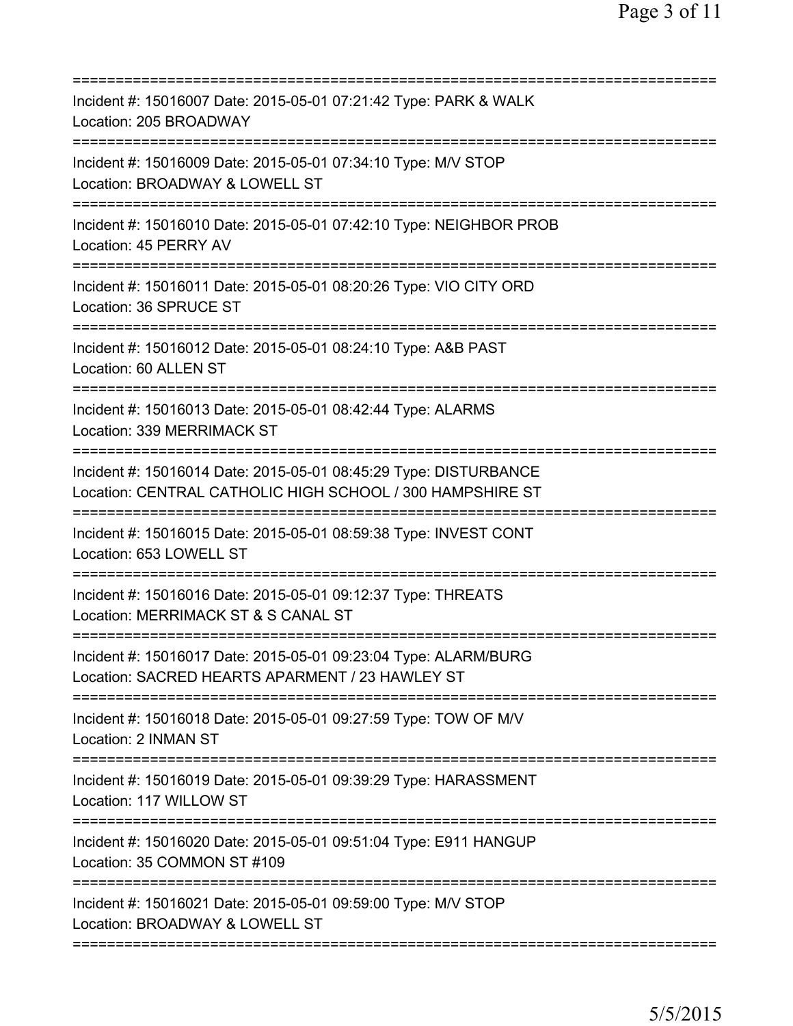| Incident #: 15016007 Date: 2015-05-01 07:21:42 Type: PARK & WALK<br>Location: 205 BROADWAY<br>==================              |
|-------------------------------------------------------------------------------------------------------------------------------|
| Incident #: 15016009 Date: 2015-05-01 07:34:10 Type: M/V STOP<br>Location: BROADWAY & LOWELL ST                               |
| Incident #: 15016010 Date: 2015-05-01 07:42:10 Type: NEIGHBOR PROB<br>Location: 45 PERRY AV                                   |
| Incident #: 15016011 Date: 2015-05-01 08:20:26 Type: VIO CITY ORD<br>Location: 36 SPRUCE ST                                   |
| Incident #: 15016012 Date: 2015-05-01 08:24:10 Type: A&B PAST<br>Location: 60 ALLEN ST                                        |
| Incident #: 15016013 Date: 2015-05-01 08:42:44 Type: ALARMS<br>Location: 339 MERRIMACK ST                                     |
| Incident #: 15016014 Date: 2015-05-01 08:45:29 Type: DISTURBANCE<br>Location: CENTRAL CATHOLIC HIGH SCHOOL / 300 HAMPSHIRE ST |
| Incident #: 15016015 Date: 2015-05-01 08:59:38 Type: INVEST CONT<br>Location: 653 LOWELL ST<br>================               |
| Incident #: 15016016 Date: 2015-05-01 09:12:37 Type: THREATS<br>Location: MERRIMACK ST & S CANAL ST                           |
| Incident #: 15016017 Date: 2015-05-01 09:23:04 Type: ALARM/BURG<br>Location: SACRED HEARTS APARMENT / 23 HAWLEY ST            |
| Incident #: 15016018 Date: 2015-05-01 09:27:59 Type: TOW OF M/V<br>Location: 2 INMAN ST                                       |
| Incident #: 15016019 Date: 2015-05-01 09:39:29 Type: HARASSMENT<br>Location: 117 WILLOW ST                                    |
| Incident #: 15016020 Date: 2015-05-01 09:51:04 Type: E911 HANGUP<br>Location: 35 COMMON ST #109                               |
| Incident #: 15016021 Date: 2015-05-01 09:59:00 Type: M/V STOP<br>Location: BROADWAY & LOWELL ST                               |
|                                                                                                                               |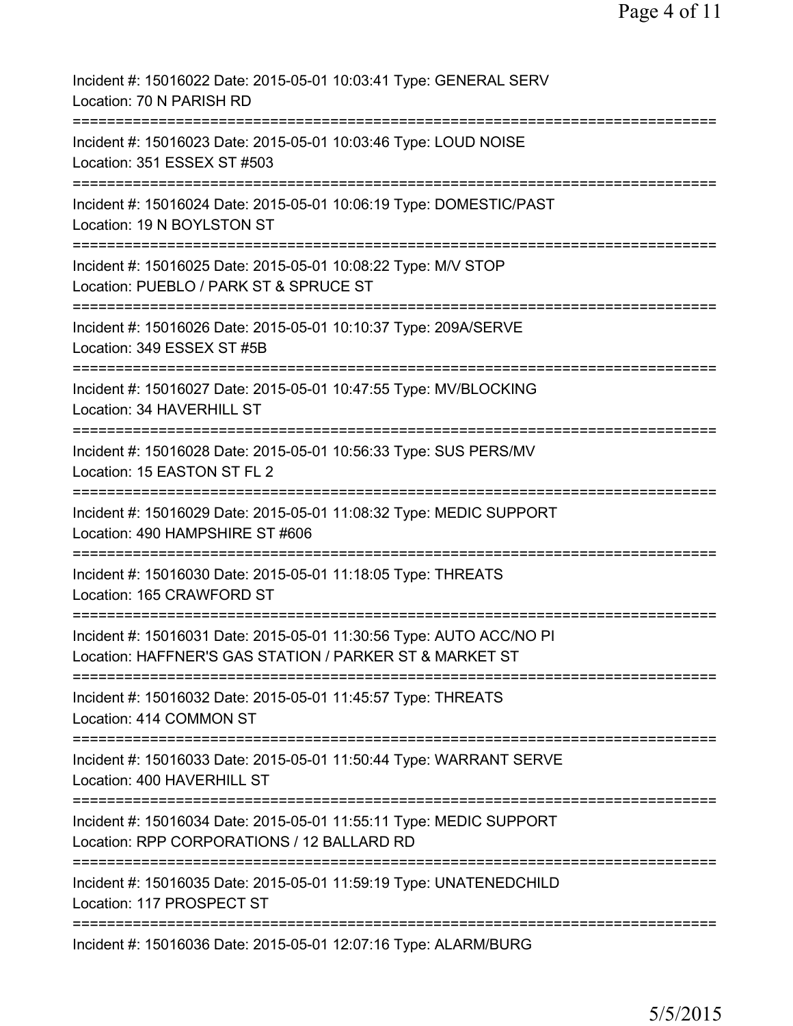| Incident #: 15016022 Date: 2015-05-01 10:03:41 Type: GENERAL SERV<br>Location: 70 N PARISH RD                                  |
|--------------------------------------------------------------------------------------------------------------------------------|
| Incident #: 15016023 Date: 2015-05-01 10:03:46 Type: LOUD NOISE<br>Location: 351 ESSEX ST #503                                 |
| Incident #: 15016024 Date: 2015-05-01 10:06:19 Type: DOMESTIC/PAST<br>Location: 19 N BOYLSTON ST                               |
| Incident #: 15016025 Date: 2015-05-01 10:08:22 Type: M/V STOP<br>Location: PUEBLO / PARK ST & SPRUCE ST                        |
| Incident #: 15016026 Date: 2015-05-01 10:10:37 Type: 209A/SERVE<br>Location: 349 ESSEX ST #5B                                  |
| Incident #: 15016027 Date: 2015-05-01 10:47:55 Type: MV/BLOCKING<br>Location: 34 HAVERHILL ST                                  |
| Incident #: 15016028 Date: 2015-05-01 10:56:33 Type: SUS PERS/MV<br>Location: 15 EASTON ST FL 2                                |
| Incident #: 15016029 Date: 2015-05-01 11:08:32 Type: MEDIC SUPPORT<br>Location: 490 HAMPSHIRE ST #606                          |
| ===============<br>Incident #: 15016030 Date: 2015-05-01 11:18:05 Type: THREATS<br>Location: 165 CRAWFORD ST                   |
| Incident #: 15016031 Date: 2015-05-01 11:30:56 Type: AUTO ACC/NO PI<br>Location: HAFFNER'S GAS STATION / PARKER ST & MARKET ST |
| Incident #: 15016032 Date: 2015-05-01 11:45:57 Type: THREATS<br>Location: 414 COMMON ST                                        |
| Incident #: 15016033 Date: 2015-05-01 11:50:44 Type: WARRANT SERVE<br>Location: 400 HAVERHILL ST                               |
| Incident #: 15016034 Date: 2015-05-01 11:55:11 Type: MEDIC SUPPORT<br>Location: RPP CORPORATIONS / 12 BALLARD RD               |
| Incident #: 15016035 Date: 2015-05-01 11:59:19 Type: UNATENEDCHILD<br>Location: 117 PROSPECT ST                                |
| Incident #: 15016036 Date: 2015-05-01 12:07:16 Type: ALARM/BURG                                                                |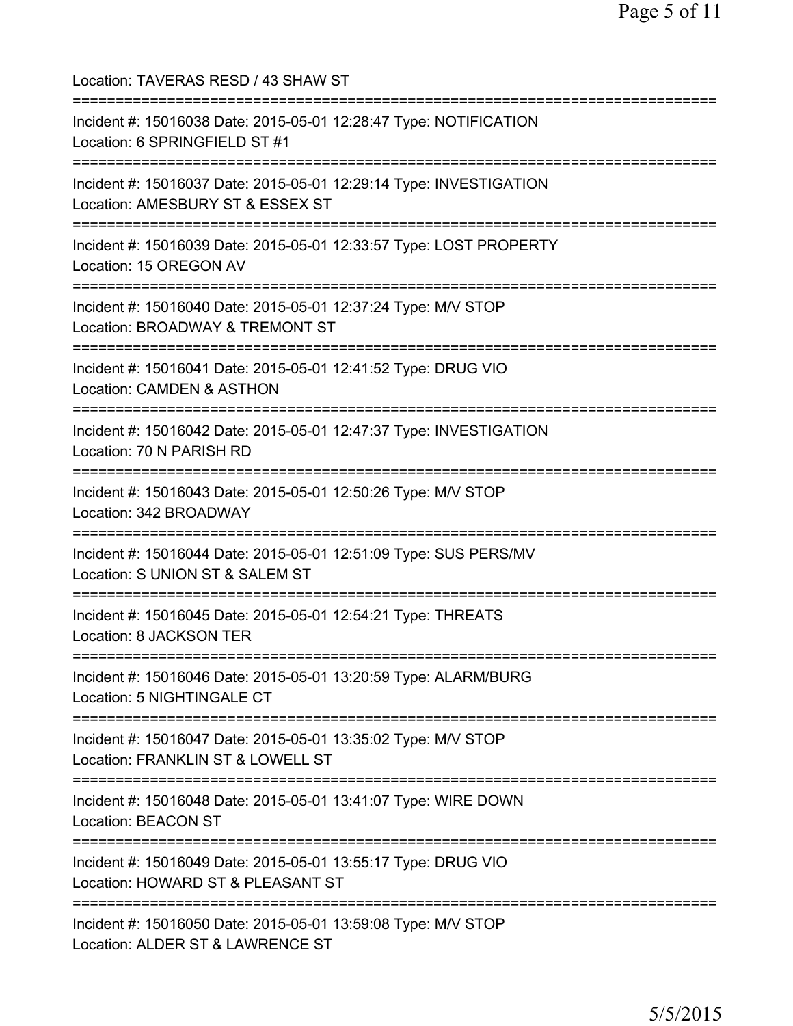| Location: TAVERAS RESD / 43 SHAW ST                                                                                                             |
|-------------------------------------------------------------------------------------------------------------------------------------------------|
| Incident #: 15016038 Date: 2015-05-01 12:28:47 Type: NOTIFICATION<br>Location: 6 SPRINGFIELD ST #1<br>===================================       |
| Incident #: 15016037 Date: 2015-05-01 12:29:14 Type: INVESTIGATION<br>Location: AMESBURY ST & ESSEX ST<br>===================================== |
| Incident #: 15016039 Date: 2015-05-01 12:33:57 Type: LOST PROPERTY<br>Location: 15 OREGON AV<br>;===============================                |
| Incident #: 15016040 Date: 2015-05-01 12:37:24 Type: M/V STOP<br>Location: BROADWAY & TREMONT ST                                                |
| Incident #: 15016041 Date: 2015-05-01 12:41:52 Type: DRUG VIO<br>Location: CAMDEN & ASTHON                                                      |
| Incident #: 15016042 Date: 2015-05-01 12:47:37 Type: INVESTIGATION<br>Location: 70 N PARISH RD                                                  |
| Incident #: 15016043 Date: 2015-05-01 12:50:26 Type: M/V STOP<br>Location: 342 BROADWAY                                                         |
| Incident #: 15016044 Date: 2015-05-01 12:51:09 Type: SUS PERS/MV<br>Location: S UNION ST & SALEM ST<br>========================                 |
| Incident #: 15016045 Date: 2015-05-01 12:54:21 Type: THREATS<br>Location: 8 JACKSON TER                                                         |
| Incident #: 15016046 Date: 2015-05-01 13:20:59 Type: ALARM/BURG<br>Location: 5 NIGHTINGALE CT                                                   |
| Incident #: 15016047 Date: 2015-05-01 13:35:02 Type: M/V STOP<br>Location: FRANKLIN ST & LOWELL ST                                              |
| Incident #: 15016048 Date: 2015-05-01 13:41:07 Type: WIRE DOWN<br><b>Location: BEACON ST</b>                                                    |
| Incident #: 15016049 Date: 2015-05-01 13:55:17 Type: DRUG VIO<br>Location: HOWARD ST & PLEASANT ST                                              |
| Incident #: 15016050 Date: 2015-05-01 13:59:08 Type: M/V STOP<br>Location: ALDER ST & LAWRENCE ST                                               |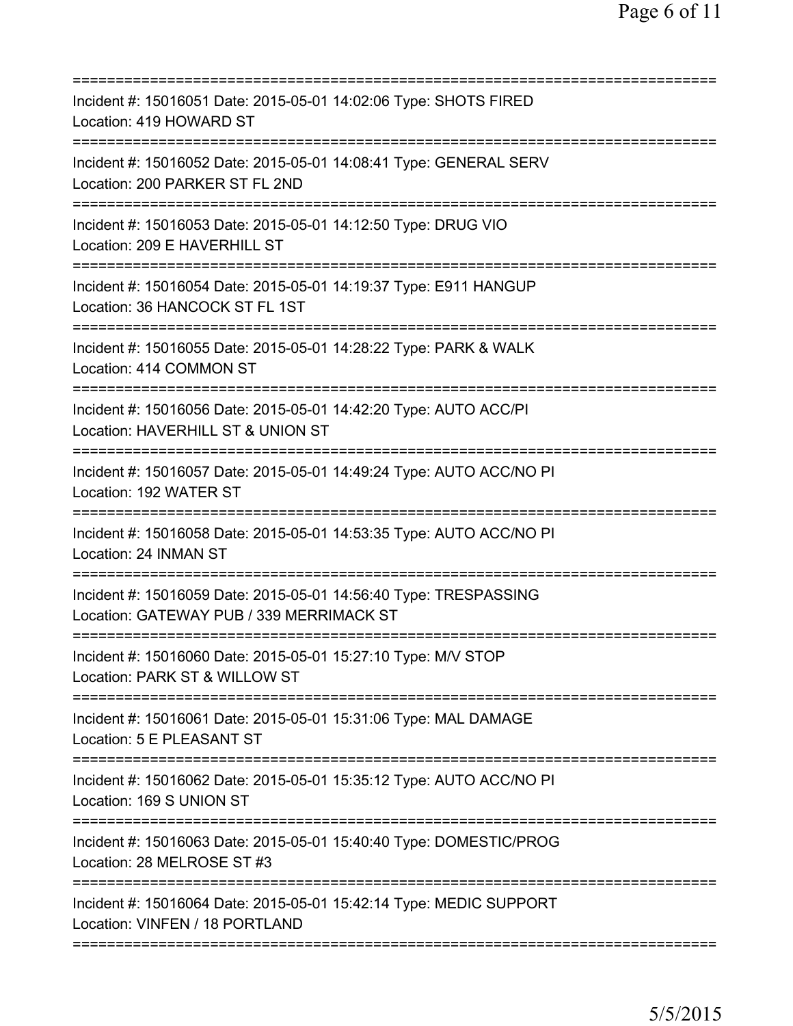| Incident #: 15016051 Date: 2015-05-01 14:02:06 Type: SHOTS FIRED<br>Location: 419 HOWARD ST                          |
|----------------------------------------------------------------------------------------------------------------------|
| Incident #: 15016052 Date: 2015-05-01 14:08:41 Type: GENERAL SERV<br>Location: 200 PARKER ST FL 2ND                  |
| Incident #: 15016053 Date: 2015-05-01 14:12:50 Type: DRUG VIO<br>Location: 209 E HAVERHILL ST                        |
| Incident #: 15016054 Date: 2015-05-01 14:19:37 Type: E911 HANGUP<br>Location: 36 HANCOCK ST FL 1ST                   |
| Incident #: 15016055 Date: 2015-05-01 14:28:22 Type: PARK & WALK<br>Location: 414 COMMON ST                          |
| Incident #: 15016056 Date: 2015-05-01 14:42:20 Type: AUTO ACC/PI<br>Location: HAVERHILL ST & UNION ST                |
| Incident #: 15016057 Date: 2015-05-01 14:49:24 Type: AUTO ACC/NO PI<br>Location: 192 WATER ST<br>=================== |
| Incident #: 15016058 Date: 2015-05-01 14:53:35 Type: AUTO ACC/NO PI<br>Location: 24 INMAN ST                         |
| Incident #: 15016059 Date: 2015-05-01 14:56:40 Type: TRESPASSING<br>Location: GATEWAY PUB / 339 MERRIMACK ST         |
| Incident #: 15016060 Date: 2015-05-01 15:27:10 Type: M/V STOP<br>Location: PARK ST & WILLOW ST                       |
| Incident #: 15016061 Date: 2015-05-01 15:31:06 Type: MAL DAMAGE<br>Location: 5 E PLEASANT ST                         |
| Incident #: 15016062 Date: 2015-05-01 15:35:12 Type: AUTO ACC/NO PI<br>Location: 169 S UNION ST                      |
| Incident #: 15016063 Date: 2015-05-01 15:40:40 Type: DOMESTIC/PROG<br>Location: 28 MELROSE ST #3                     |
| Incident #: 15016064 Date: 2015-05-01 15:42:14 Type: MEDIC SUPPORT<br>Location: VINFEN / 18 PORTLAND                 |
|                                                                                                                      |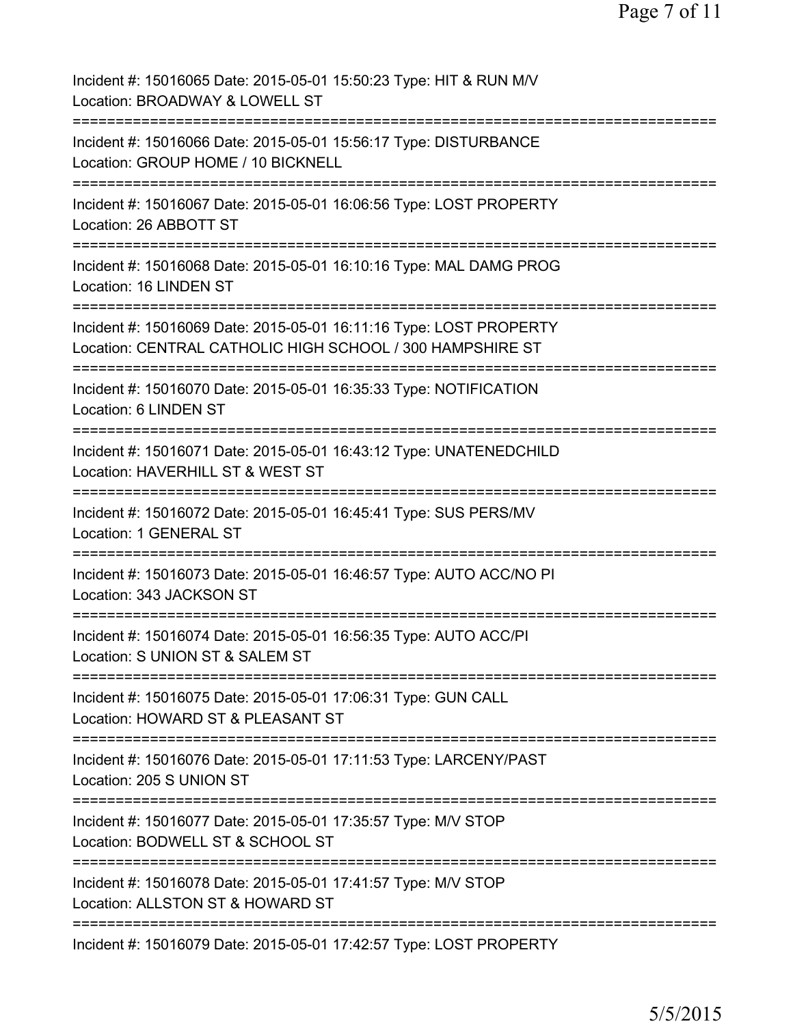| Incident #: 15016065 Date: 2015-05-01 15:50:23 Type: HIT & RUN M/V<br>Location: BROADWAY & LOWELL ST                                                                               |
|------------------------------------------------------------------------------------------------------------------------------------------------------------------------------------|
| Incident #: 15016066 Date: 2015-05-01 15:56:17 Type: DISTURBANCE<br>Location: GROUP HOME / 10 BICKNELL                                                                             |
| Incident #: 15016067 Date: 2015-05-01 16:06:56 Type: LOST PROPERTY<br>Location: 26 ABBOTT ST                                                                                       |
| Incident #: 15016068 Date: 2015-05-01 16:10:16 Type: MAL DAMG PROG<br>Location: 16 LINDEN ST                                                                                       |
| Incident #: 15016069 Date: 2015-05-01 16:11:16 Type: LOST PROPERTY<br>Location: CENTRAL CATHOLIC HIGH SCHOOL / 300 HAMPSHIRE ST                                                    |
| Incident #: 15016070 Date: 2015-05-01 16:35:33 Type: NOTIFICATION<br>Location: 6 LINDEN ST                                                                                         |
| Incident #: 15016071 Date: 2015-05-01 16:43:12 Type: UNATENEDCHILD<br>Location: HAVERHILL ST & WEST ST                                                                             |
| Incident #: 15016072 Date: 2015-05-01 16:45:41 Type: SUS PERS/MV<br><b>Location: 1 GENERAL ST</b>                                                                                  |
| Incident #: 15016073 Date: 2015-05-01 16:46:57 Type: AUTO ACC/NO PI<br>Location: 343 JACKSON ST                                                                                    |
| Incident #: 15016074 Date: 2015-05-01 16:56:35 Type: AUTO ACC/PI<br>Location: S UNION ST & SALEM ST                                                                                |
| Incident #: 15016075 Date: 2015-05-01 17:06:31 Type: GUN CALL<br>Location: HOWARD ST & PLEASANT ST                                                                                 |
| ==========================<br>=============================<br>==================<br>Incident #: 15016076 Date: 2015-05-01 17:11:53 Type: LARCENY/PAST<br>Location: 205 S UNION ST |
| Incident #: 15016077 Date: 2015-05-01 17:35:57 Type: M/V STOP<br>Location: BODWELL ST & SCHOOL ST                                                                                  |
| Incident #: 15016078 Date: 2015-05-01 17:41:57 Type: M/V STOP<br>Location: ALLSTON ST & HOWARD ST                                                                                  |
| Incident #: 15016079 Date: 2015-05-01 17:42:57 Type: LOST PROPERTY                                                                                                                 |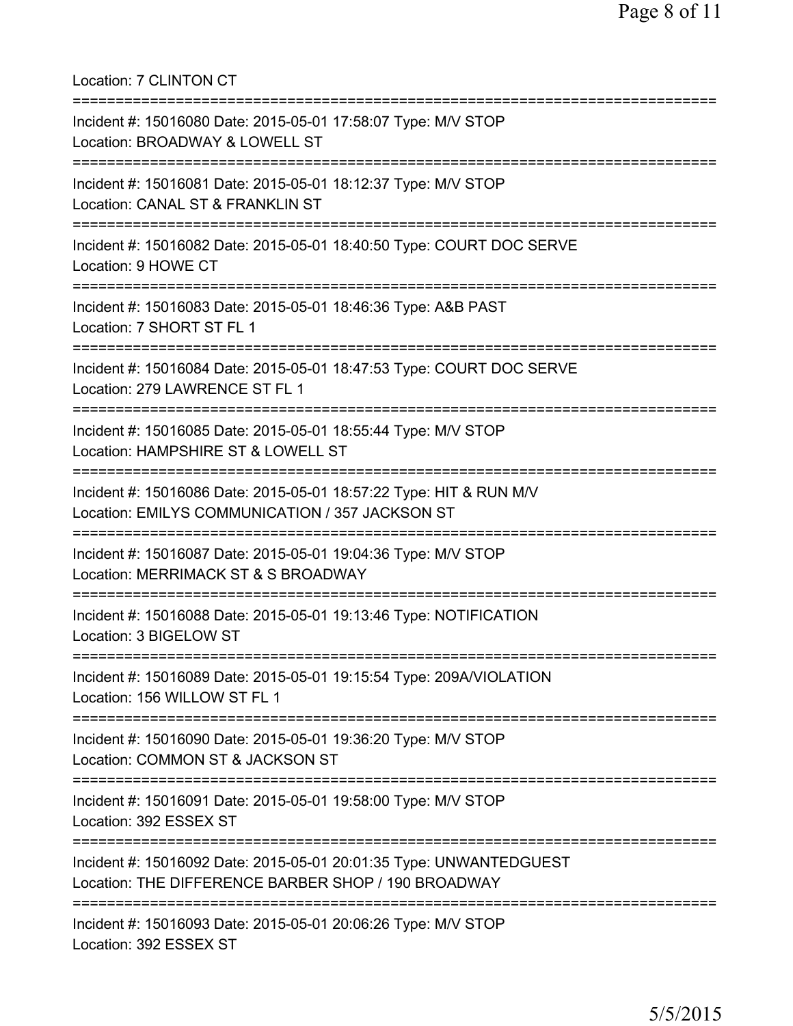Location: 7 CLINTON CT =========================================================================== Incident #: 15016080 Date: 2015-05-01 17:58:07 Type: M/V STOP Location: BROADWAY & LOWELL ST =========================================================================== Incident #: 15016081 Date: 2015-05-01 18:12:37 Type: M/V STOP Location: CANAL ST & FRANKLIN ST =========================================================================== Incident #: 15016082 Date: 2015-05-01 18:40:50 Type: COURT DOC SERVE Location: 9 HOWE CT =========================================================================== Incident #: 15016083 Date: 2015-05-01 18:46:36 Type: A&B PAST Location: 7 SHORT ST FL 1 =========================================================================== Incident #: 15016084 Date: 2015-05-01 18:47:53 Type: COURT DOC SERVE Location: 279 LAWRENCE ST FL 1 =========================================================================== Incident #: 15016085 Date: 2015-05-01 18:55:44 Type: M/V STOP Location: HAMPSHIRE ST & LOWELL ST =========================================================================== Incident #: 15016086 Date: 2015-05-01 18:57:22 Type: HIT & RUN M/V Location: EMILYS COMMUNICATION / 357 JACKSON ST =========================================================================== Incident #: 15016087 Date: 2015-05-01 19:04:36 Type: M/V STOP Location: MERRIMACK ST & S BROADWAY =========================================================================== Incident #: 15016088 Date: 2015-05-01 19:13:46 Type: NOTIFICATION Location: 3 BIGELOW ST =========================================================================== Incident #: 15016089 Date: 2015-05-01 19:15:54 Type: 209A/VIOLATION Location: 156 WILLOW ST FL 1 =========================================================================== Incident #: 15016090 Date: 2015-05-01 19:36:20 Type: M/V STOP Location: COMMON ST & JACKSON ST =========================================================================== Incident #: 15016091 Date: 2015-05-01 19:58:00 Type: M/V STOP Location: 392 ESSEX ST =========================================================================== Incident #: 15016092 Date: 2015-05-01 20:01:35 Type: UNWANTEDGUEST Location: THE DIFFERENCE BARBER SHOP / 190 BROADWAY =========================================================================== Incident #: 15016093 Date: 2015-05-01 20:06:26 Type: M/V STOP Location: 392 ESSEX ST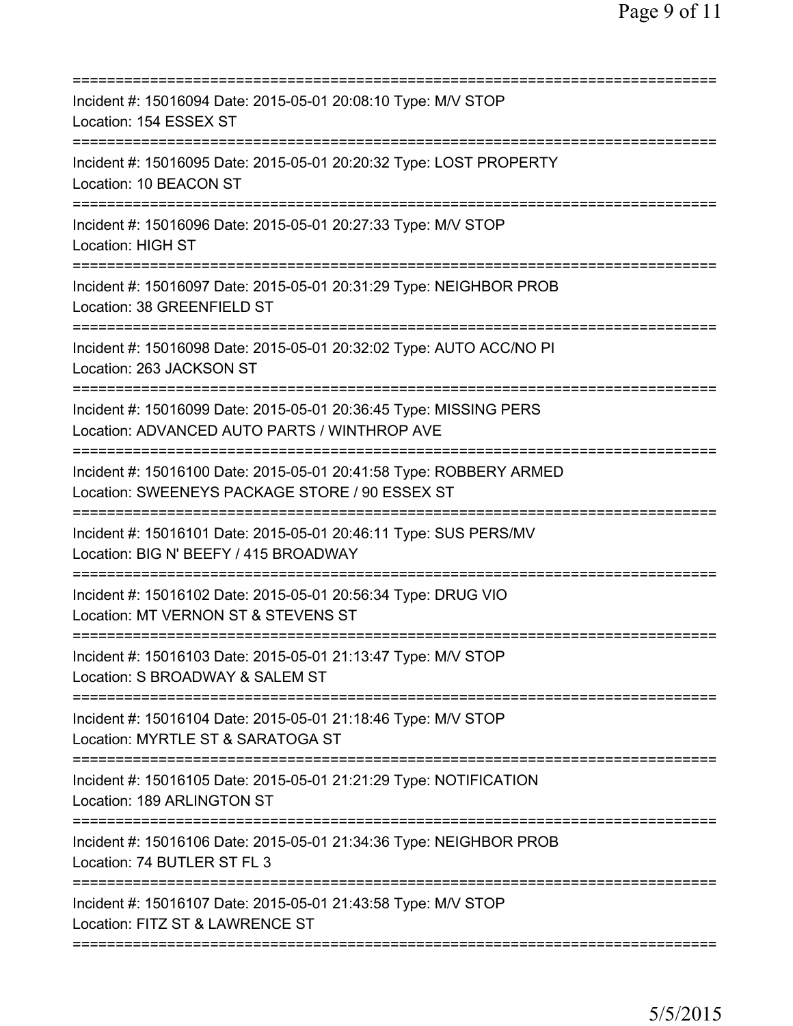| Incident #: 15016094 Date: 2015-05-01 20:08:10 Type: M/V STOP<br>Location: 154 ESSEX ST<br>================                                                            |
|------------------------------------------------------------------------------------------------------------------------------------------------------------------------|
| Incident #: 15016095 Date: 2015-05-01 20:20:32 Type: LOST PROPERTY<br>Location: 10 BEACON ST                                                                           |
| Incident #: 15016096 Date: 2015-05-01 20:27:33 Type: M/V STOP<br>Location: HIGH ST                                                                                     |
| Incident #: 15016097 Date: 2015-05-01 20:31:29 Type: NEIGHBOR PROB<br>Location: 38 GREENFIELD ST                                                                       |
| Incident #: 15016098 Date: 2015-05-01 20:32:02 Type: AUTO ACC/NO PI<br>Location: 263 JACKSON ST                                                                        |
| =====================<br>Incident #: 15016099 Date: 2015-05-01 20:36:45 Type: MISSING PERS<br>Location: ADVANCED AUTO PARTS / WINTHROP AVE<br>======================== |
| Incident #: 15016100 Date: 2015-05-01 20:41:58 Type: ROBBERY ARMED<br>Location: SWEENEYS PACKAGE STORE / 90 ESSEX ST                                                   |
| Incident #: 15016101 Date: 2015-05-01 20:46:11 Type: SUS PERS/MV<br>Location: BIG N' BEEFY / 415 BROADWAY<br>=========================                                 |
| Incident #: 15016102 Date: 2015-05-01 20:56:34 Type: DRUG VIO<br>Location: MT VERNON ST & STEVENS ST                                                                   |
| Incident #: 15016103 Date: 2015-05-01 21:13:47 Type: M/V STOP<br>Location: S BROADWAY & SALEM ST                                                                       |
| Incident #: 15016104 Date: 2015-05-01 21:18:46 Type: M/V STOP<br>Location: MYRTLE ST & SARATOGA ST                                                                     |
| Incident #: 15016105 Date: 2015-05-01 21:21:29 Type: NOTIFICATION<br>Location: 189 ARLINGTON ST                                                                        |
| Incident #: 15016106 Date: 2015-05-01 21:34:36 Type: NEIGHBOR PROB<br>Location: 74 BUTLER ST FL 3                                                                      |
| Incident #: 15016107 Date: 2015-05-01 21:43:58 Type: M/V STOP<br>Location: FITZ ST & LAWRENCE ST                                                                       |
|                                                                                                                                                                        |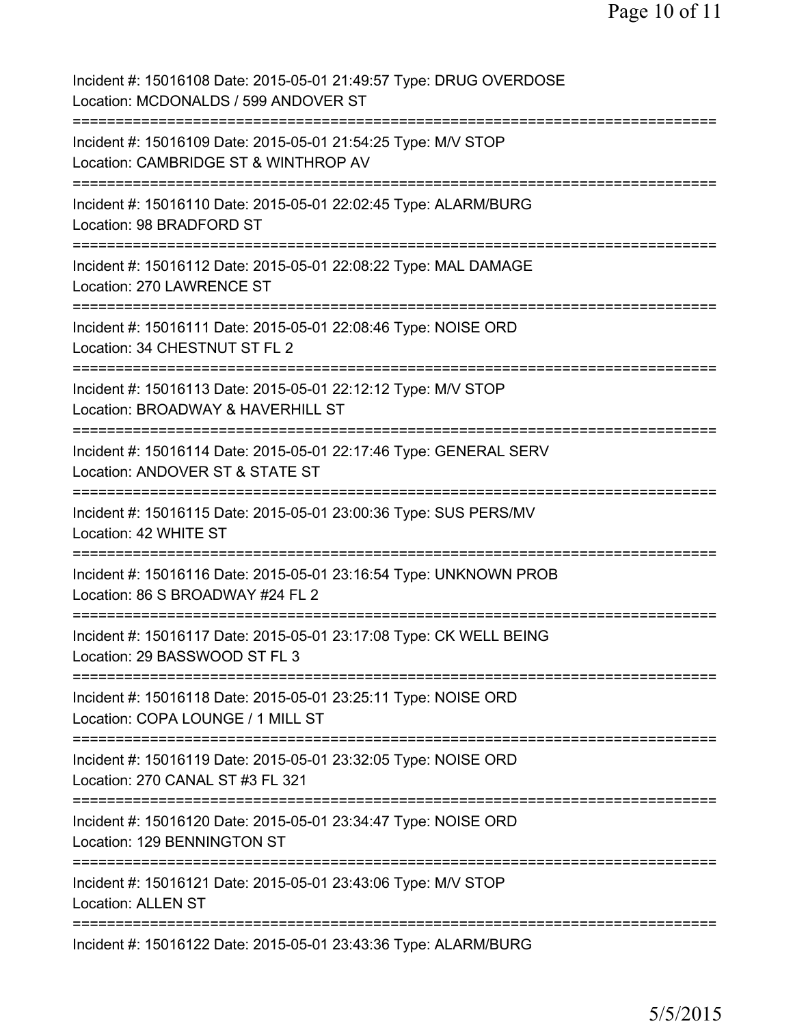| Incident #: 15016108 Date: 2015-05-01 21:49:57 Type: DRUG OVERDOSE<br>Location: MCDONALDS / 599 ANDOVER ST                   |
|------------------------------------------------------------------------------------------------------------------------------|
| Incident #: 15016109 Date: 2015-05-01 21:54:25 Type: M/V STOP<br>Location: CAMBRIDGE ST & WINTHROP AV                        |
| Incident #: 15016110 Date: 2015-05-01 22:02:45 Type: ALARM/BURG<br>Location: 98 BRADFORD ST                                  |
| Incident #: 15016112 Date: 2015-05-01 22:08:22 Type: MAL DAMAGE<br>Location: 270 LAWRENCE ST                                 |
| Incident #: 15016111 Date: 2015-05-01 22:08:46 Type: NOISE ORD<br>Location: 34 CHESTNUT ST FL 2                              |
| Incident #: 15016113 Date: 2015-05-01 22:12:12 Type: M/V STOP<br>Location: BROADWAY & HAVERHILL ST                           |
| Incident #: 15016114 Date: 2015-05-01 22:17:46 Type: GENERAL SERV<br>Location: ANDOVER ST & STATE ST                         |
| Incident #: 15016115 Date: 2015-05-01 23:00:36 Type: SUS PERS/MV<br>Location: 42 WHITE ST<br>-----------                     |
| Incident #: 15016116 Date: 2015-05-01 23:16:54 Type: UNKNOWN PROB<br>Location: 86 S BROADWAY #24 FL 2                        |
| Incident #: 15016117 Date: 2015-05-01 23:17:08 Type: CK WELL BEING<br>Location: 29 BASSWOOD ST FL 3                          |
| Incident #: 15016118 Date: 2015-05-01 23:25:11 Type: NOISE ORD<br>Location: COPA LOUNGE / 1 MILL ST                          |
| Incident #: 15016119 Date: 2015-05-01 23:32:05 Type: NOISE ORD<br>Location: 270 CANAL ST #3 FL 321                           |
| =========================<br>Incident #: 15016120 Date: 2015-05-01 23:34:47 Type: NOISE ORD<br>Location: 129 BENNINGTON ST   |
| ==============================<br>Incident #: 15016121 Date: 2015-05-01 23:43:06 Type: M/V STOP<br><b>Location: ALLEN ST</b> |
| Incident #: 15016122 Date: 2015-05-01 23:43:36 Type: ALARM/BURG                                                              |